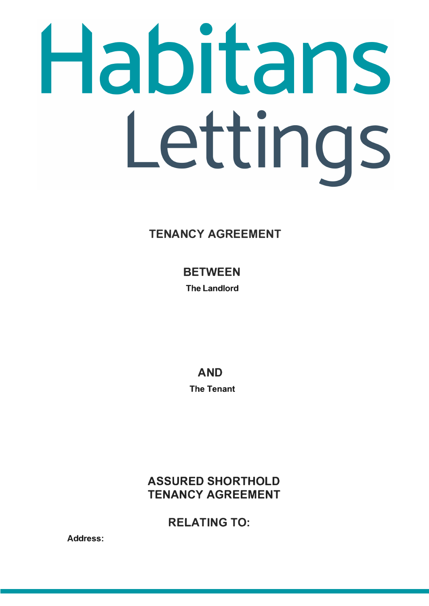# Habitans Lettings

# TENANCY AGREEMENT

**BETWEEN The Landlord** 

> AND **The Tenant**

**ASSURED SHORTHOLD** TENANCY AGREEMENT

RELATING TO:

**Address:**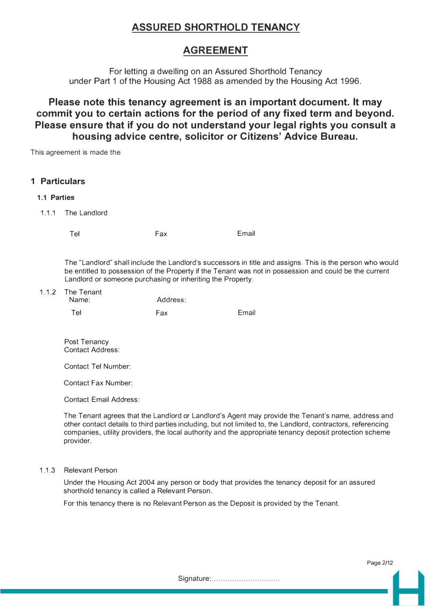# **ASSURED SHORTHOLD TENANCY**

# **AGREEMENT**

For letting a dwelling on an Assured Shorthold Tenancy under Part 1 of the Housing Act 1988 as amended by the Housing Act 1996.

# **Please note this tenancy agreement is an important document. It may commit you to certain actions for the period of any fixed term and beyond. Please ensure that if you do not understand your legal rights you consult a housing advice centre, solicitor or Citizens' Advice Bureau.**

This agreement is made the

|             | 1 Particulars                                                                                                                                                                                                                                                                     |            |       |                                                                                                                                                                                                                                                                                                                               |
|-------------|-----------------------------------------------------------------------------------------------------------------------------------------------------------------------------------------------------------------------------------------------------------------------------------|------------|-------|-------------------------------------------------------------------------------------------------------------------------------------------------------------------------------------------------------------------------------------------------------------------------------------------------------------------------------|
| 1.1 Parties |                                                                                                                                                                                                                                                                                   |            |       |                                                                                                                                                                                                                                                                                                                               |
| 1.1.1       | The Landlord                                                                                                                                                                                                                                                                      |            |       |                                                                                                                                                                                                                                                                                                                               |
|             | Tel                                                                                                                                                                                                                                                                               | Fax        | Email |                                                                                                                                                                                                                                                                                                                               |
|             | The "Landlord" shall include the Landlord's successors in title and assigns. This is the person who would<br>be entitled to possession of the Property if the Tenant was not in possession and could be the current<br>Landlord or someone purchasing or inheriting the Property. |            |       |                                                                                                                                                                                                                                                                                                                               |
| 1.1.2       | The Tenant<br>Name:                                                                                                                                                                                                                                                               | Address:   |       |                                                                                                                                                                                                                                                                                                                               |
|             | Tel                                                                                                                                                                                                                                                                               | <b>Fax</b> | Email |                                                                                                                                                                                                                                                                                                                               |
|             | Post Tenancy<br><b>Contact Address:</b><br><b>Contact Tel Number:</b>                                                                                                                                                                                                             |            |       |                                                                                                                                                                                                                                                                                                                               |
|             | <b>Contact Fax Number:</b>                                                                                                                                                                                                                                                        |            |       |                                                                                                                                                                                                                                                                                                                               |
|             | <b>Contact Email Address:</b>                                                                                                                                                                                                                                                     |            |       |                                                                                                                                                                                                                                                                                                                               |
|             | provider.                                                                                                                                                                                                                                                                         |            |       | The Tenant agrees that the Landlord or Landlord's Agent may provide the Tenant's name, address and<br>other contact details to third parties including, but not limited to, the Landlord, contractors, referencing<br>companies, utility providers, the local authority and the appropriate tenancy deposit protection scheme |

#### 1.1.3 Relevant Person

Under the Housing Act 2004 any person or body that provides the tenancy deposit for an assured shorthold tenancy is called a Relevant Person.

For this tenancy there is no Relevant Person as the Deposit is provided by the Tenant.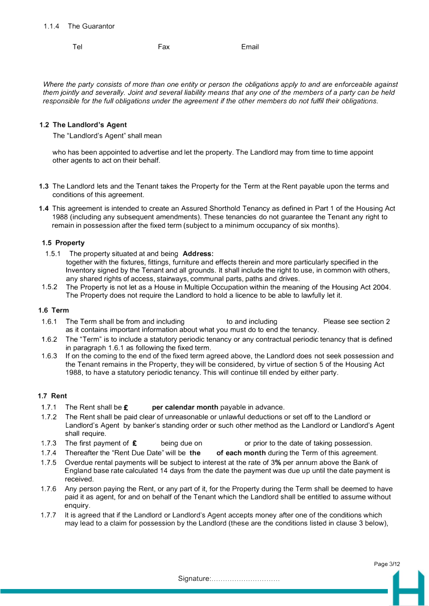# 1.1.4 The Guarantor

Tel Fax Email

*Where the party consists of more than one entity or person the obligations apply to and are enforceable against them jointly and severally. Joint and several liability means that any one of the members of a party can be held responsible for the full obligations under the agreement if the other members do not fulfil their obligations.* 

#### **1.2 The Landlord's Agent**

The "Landlord's Agent" shall mean

who has been appointed to advertise and let the property. The Landlord may from time to time appoint other agents to act on their behalf.

- **1.3** The Landlord lets and the Tenant takes the Property for the Term at the Rent payable upon the terms and conditions of this agreement.
- **1.4** This agreement is intended to create an Assured Shorthold Tenancy as defined in Part 1 of the Housing Act 1988 (including any subsequent amendments). These tenancies do not guarantee the Tenant any right to remain in possession after the fixed term (subject to a minimum occupancy of six months).

#### **1.5 Property**

- 1.5.1 The property situated at and being **Address:** together with the fixtures, fittings, furniture and effects therein and more particularly specified in the Inventory signed by the Tenant and all grounds. It shall include the right to use, in common with others, any shared rights of access, stairways, communal parts, paths and drives.
- 1.5.2 The Property is not let as a House in Multiple Occupation within the meaning of the Housing Act 2004. The Property does not require the Landlord to hold a licence to be able to lawfully let it.

# **1.6 Term**

- 1.6.1 The Term shall be from and including to and including Please see section 2 as it contains important information about what you must do to end the tenancy.
- 1.6.2 The "Term" is to include a statutory periodic tenancy or any contractual periodic tenancy that is defined in paragraph 1.6.1 as following the fixed term.
- 1.6.3 If on the coming to the end of the fixed term agreed above, the Landlord does not seek possession and the Tenant remains in the Property, they will be considered, by virtue of section 5 of the Housing Act 1988, to have a statutory periodic tenancy. This will continue till ended by either party.

# **1.7 Rent**

- 1.7.1 The Rent shall be **£** per calendar month payable in advance. The Rent shall be £
- 1. 7.2 The Rent shall be paid clear of unreasonable or unlawful deductions or set off to the Landlord or Landlord's Agent by banker's standing order or such other method as the Landlord or Landlord's Agent shall require.
- 1.7.3 The first payment of  $\epsilon$  being due on or prior to the date of taking possession. The first payment of  $\epsilon$
- 1. 7.4 Thereafter the "Rent Due Date" will be **the of each month** during the Term of this agreement.
- 1.7.5 Overdue rental payments will be subject to interest at the rate of 3% per annum above the Bank of England base rate calculated 14 days from the date the payment was due up until the date payment is received.
- 1.7.6 Any person paying the Rent, or any part of it, for the Property during the Term shall be deemed to have paid it as agent, for and on behalf of the Tenant which the Landlord shall be entitled to assume without enquiry.
- 1. 7. 7 It is agreed that if the Landlord or Landlord's Agent accepts money after one of the conditions which may lead to a claim for possession by the Landlord (these are the conditions listed in clause 3 below),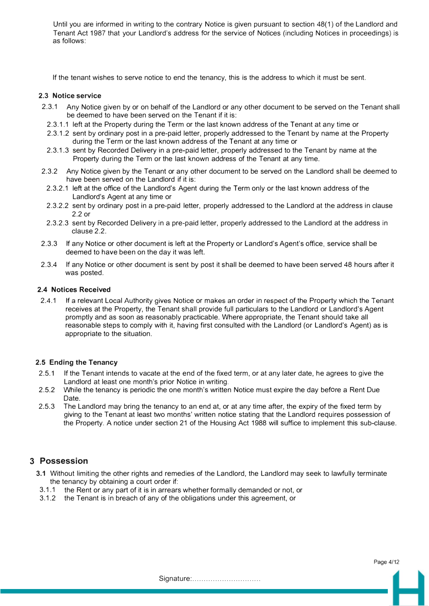Until you are informed in writing to the contrary Notice is given pursuant to section 48(1) of the Landlord and Tenant Act 1987 that your Landlord's address for the service of Notices (including Notices in proceedings) is as follows:

If the tenant wishes to serve notice to end the tenancy, this is the address to which it must be sent.

#### **2.3 Notice service**

- 2.3.1 Any Notice given by or on behalf of the Landlord or any other document to be served on the Tenant shall be deemed to have been served on the Tenant if it is:
- 2.3.1.1 left at the Property during the Term or the last known address of the Tenant at any time or
- 2.3.1.2 sent by ordinary post in a pre-paid letter, properly addressed to the Tenant by name at the Property during the Term or the last known address of the Tenant at any time or
- 2.3.1.3 sent by Recorded Delivery in a pre-paid letter, properly addressed to the Tenant by name at the Property during the Term or the last known address of the Tenant at any time.
- 2.3.2 Any Notice given by the Tenant or any other document to be served on the Landlord shall be deemed to have been served on the Landlord if it is:
- 2.3.2.1 left at the office of the Landlord's Agent during the Term only or the last known address of the Landlord's Agent at any time or
- 2.3.2.2 sent by ordinary post in a pre-paid letter, properly addressed to the Landlord at the address in clause 2.2 or
- 2.3.2.3 sent by Recorded Delivery in a pre-paid letter, properly addressed to the Landlord at the address in clause 2.2.
- 2.3.3 If any Notice or other document is left at the Property or Landlord's Agent's office, service shall be deemed to have been on the day it was left.
- 2.3.4 If any Notice or other document is sent by post it shall be deemed to have been served 48 hours after it was posted.

#### **2.4 Notices Received**

2.4.1 If a relevant Local Authority gives Notice or makes an order in respect of the Property which the Tenant receives at the Property, the Tenant shall provide full particulars to the Landlord or Landlord's Agent promptly and as soon as reasonably practicable. Where appropriate, the Tenant should take all reasonable steps to comply with it, having first consulted with the Landlord (or Landlord's Agent) as is appropriate to the situation.

# **2.5 Ending the Tenancy**

- 2.5.1 If the Tenant intends to vacate at the end of the fixed term, or at any later date, he agrees to give the Landlord at least one month's prior Notice in writing.
- 2.5.2 While the tenancy is periodic the one month's written Notice must expire the day before a Rent Due Date.
- 2.5.3 The Landlord may bring the tenancy to an end at, or at any time after, the expiry of the fixed term by giving to the Tenant at least two months' written notice stating that the Landlord requires possession of the Property. A notice under section 21 of the Housing Act 1988 will suffice to implement this sub-clause.

# **3 Possession**

- **3.1** Without limiting the other rights and remedies of the Landlord, the Landlord may seek to lawfully terminate the tenancy by obtaining a court order if:
- 3.1.1 the Rent or any part of it is in arrears whether formally demanded or not, or
- 3.1.2 the Tenant is in breach of any of the obligations under this agreement, or

Page 4/12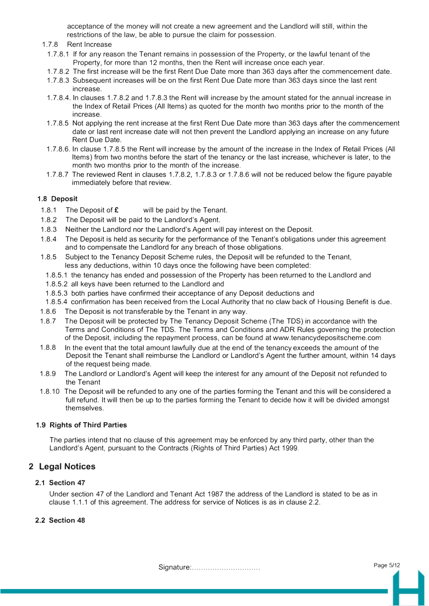acceptance of the money will not create a new agreement and the Landlord will still, within the restrictions of the law, be able to pursue the claim for possession.

- 1.7.8 Rent Increase
- 1. 7.8.1 If for any reason the Tenant remains in possession of the Property, or the lawful tenant of the Property, for more than 12 months, then the Rent will increase once each year.
- 1. 7.8.2 The first increase will be the first Rent Due Date more than 363 days after the commencement date.
- 1.7.8.3 Subsequent increases will be on the first Rent Due Date more than 363 days since the last rent increase.
- 1.7.8.4. In clauses 1.7.8.2 and 1.7.8.3 the Rent will increase by the amount stated for the annual increase in the Index of Retail Prices (All Items) as quoted for the month two months prior to the month of the increase.
- 1. 7.8.5 Not applying the rent increase at the first Rent Due Date more than 363 days after the commencement date or last rent increase date will not then prevent the Landlord applying an increase on any future Rent Due Date.
- 1. 7 .8.6. In clause 1. 7 .8.5 the Rent will increase by the amount of the increase in the Index of Retail Prices (All Items) from two months before the start of the tenancy or the last increase, whichever is later, to the month two months prior to the month of the increase.
- 1.7.8.7 The reviewed Rent in clauses 1.7.8.2, 1.7.8.3 or 1.7.8.6 will not be reduced below the figure payable immediately before that review.

## **1.8 Deposit**

- 1.8.1 The Deposit of **£** will be paid by the Tenant.
- 1.8.2 The Deposit will be paid to the Landlord's Agent.
- 1.8.3 Neither the Landlord nor the Landlord's Agent will pay interest on the Deposit.
- 1.8.4 The Deposit is held as security for the performance of the Tenant's obligations under this agreement and to compensate the Landlord for any breach of those obligations.
- 1.8.5 Subject to the Tenancy Deposit Scheme rules, the Deposit will be refunded to the Tenant, less any deductions, within 10 days once the following have been completed:
- 1.8.5.1 the tenancy has ended and possession of the Property has been returned to the Landlord and
- 1.8.5.2 all keys have been returned to the Landlord and
- 1.8.5.3 both parties have confirmed their acceptance of any Deposit deductions and
- 1.8.5.4 confirmation has been received from the Local Authority that no claw back of Housing Benefit is due.
- 1.8.6 The Deposit is not transferable by the Tenant in any way.
- 1.8.7 The Deposit will be protected by The Tenancy Deposit Scheme (The TDS) in accordance with the Terms and Conditions of The TDS. The Terms and Conditions and ADR Rules governing the protection of the Deposit, including the repayment process, can be found at www.tenancydepositscheme.com
- 1.8.8 In the event that the total amount lawfully due at the end of the tenancy exceeds the amount of the Deposit the Tenant shall reimburse the Landlord or Landlord's Agent the further amount, within 14 days of the request being made.
- 1.8.9 The Landlord or Landlord's Agent will keep the interest for any amount of the Deposit not refunded to the Tenant
- 1.8.10 The Deposit will be refunded to any one of the parties forming the Tenant and this will be considered a full refund. It will then be up to the parties forming the Tenant to decide how it will be divided amongst themselves.

#### **1.9 Rights of Third Parties**

The parties intend that no clause of this agreement may be enforced by any third party, other than the Landlord's Agent, pursuant to the Contracts (Rights of Third Parties) Act 1999.

# **2 Legal Notices**

#### **2.1 Section 47**

Under section 47 of the Landlord and Tenant Act 1987 the address of the Landlord is stated to be as in clause 1.1.1 of this agreement. The address for service of Notices is as in clause 2.2.

## **2.2 Section 48**

Signature:.............................. Page 5/1<sup>2</sup>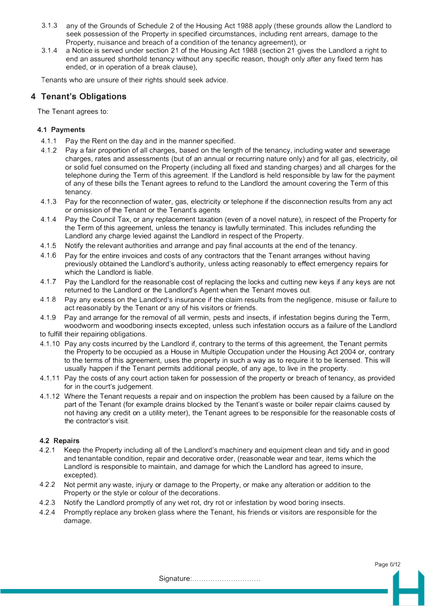- 3.1.3 any of the Grounds of Schedule 2 of the Housing Act 1988 apply (these grounds allow the Landlord to seek possession of the Property in specified circumstances, including rent arrears, damage to the Property, nuisance and breach of a condition of the tenancy agreement), or
- 3.1.4 a Notice is served under section 21 of the Housing Act 1988 (section 21 gives the Landlord a right to end an assured shorthold tenancy without any specific reason, though only after any fixed term has ended, or in operation of a break clause),

Tenants who are unsure of their rights should seek advice.

# **4 Tenant's Obligations**

The Tenant agrees to:

# **4.1 Payments**

- 4.1.1 Pay the Rent on the day and in the manner specified.
- 4.1.2 Pay a fair proportion of all charges, based on the length of the tenancy, including water and sewerage charges, rates and assessments (but of an annual or recurring nature only) and for all gas, electricity, oil or solid fuel consumed on the Property (including all fixed and standing charges) and all charges for the telephone during the Term of this agreement. If the Landlord is held responsible by law for the payment of any of these bills the Tenant agrees to refund to the Landlord the amount covering the Term of this tenancy.
- 4.1.3 Pay for the reconnection of water, gas, electricity or telephone if the disconnection results from any act or omission of the Tenant or the Tenant's agents.
- 4.1.4 Pay the Council Tax, or any replacement taxation (even of a novel nature), in respect of the Property for the Term of this agreement, unless the tenancy is lawfully terminated. This includes refunding the Landlord any charge levied against the Landlord in respect of the Property.
- 4.1.5 Notify the relevant authorities and arrange and pay final accounts at the end of the tenancy.
- 4.1.6 Pay for the entire invoices and costs of any contractors that the Tenant arranges without having previously obtained the Landlord's authority, unless acting reasonably to effect emergency repairs for which the Landlord is liable.
- 4.1.7 Pay the Landlord for the reasonable cost of replacing the locks and cutting new keys if any keys are not returned to the Landlord or the Landlord's Agent when the Tenant moves out.
- 4.1.8 Pay any excess on the Landlord's insurance if the claim results from the negligence, misuse or failure to act reasonably by the Tenant or any of his visitors or friends.
- 4.1.9 Pay and arrange for the removal of all vermin, pests and insects, if infestation begins during the Term, woodworm and woodboring insects excepted, unless such infestation occurs as a failure of the Landlord to fulfill their repairing obligations.
- 4.1.1 O Pay any costs incurred by the Landlord if, contrary to the terms of this agreement, the Tenant permits the Property to be occupied as a House in Multiple Occupation under the Housing Act 2004 or, contrary to the terms of this agreement, uses the property in such a way as to require it to be licensed. This will usually happen if the Tenant permits additional people, of any age, to live in the property.
- 4.1.11 Pay the costs of any court action taken for possession of the property or breach of tenancy, as provided for in the court's judgement.
- 4.1.12 Where the Tenant requests a repair and on inspection the problem has been caused by a failure on the part of the Tenant (for example drains blocked by the Tenant's waste or boiler repair claims caused by not having any credit on a utility meter), the Tenant agrees to be responsible for the reasonable costs of the contractor's visit.

# **4.2 Repairs**

- 4.2.1 Keep the Property including all of the Landlord's machinery and equipment clean and tidy and in good and tenantable condition, repair and decorative order, (reasonable wear and tear, items which the Landlord is responsible to maintain, and damage for which the Landlord has agreed to insure, excepted).
- 4.2.2 Not permit any waste, injury or damage to the Property, or make any alteration or addition to the Property or the style or colour of the decorations.
- 4.2.3 Notify the Landlord promptly of any wet rot, dry rot or infestation by wood boring insects.
- 4.2.4 Promptly replace any broken glass where the Tenant, his friends or visitors are responsible for the damage.

Page 6/12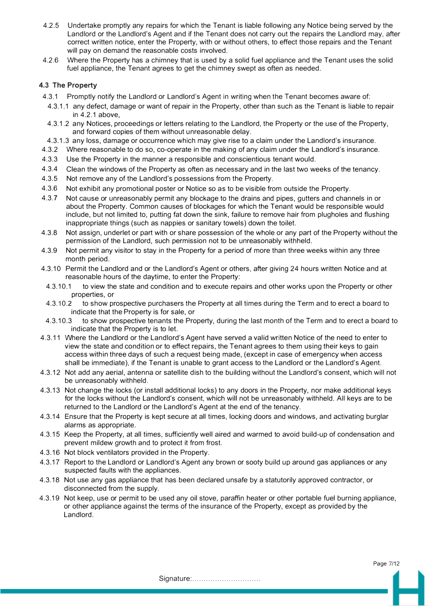- 4.2.5 Undertake promptly any repairs for which the Tenant is liable following any Notice being served by the Landlord or the Landlord's Agent and if the Tenant does not carry out the repairs the Landlord may, after correct written notice, enter the Property, with or without others, to effect those repairs and the Tenant will pay on demand the reasonable costs involved.
- 4.2.6 Where the Property has a chimney that is used by a solid fuel appliance and the Tenant uses the solid fuel appliance, the Tenant agrees to get the chimney swept as often as needed.

# **4.3 The Property**

- 4.3.1 Promptly notify the Landlord or Landlord's Agent in writing when the Tenant becomes aware of:
	- 4.3.1.1 any defect, damage or want of repair in the Property, other than such as the Tenant is liable to repair in 4.2.1 above,
- 4.3.1.2 any Notices, proceedings or letters relating to the Landlord, the Property or the use of the Property, and forward copies of them without unreasonable delay.
- 4.3.1.3 any loss, damage or occurrence which may give rise to a claim under the Landlord's insurance.
- 4.3.2 Where reasonable to do so, co-operate in the making of any claim under the Landlord's insurance.
- 4.3.3 Use the Property in the manner a responsible and conscientious tenant would.
- 4.3.4 Clean the windows of the Property as often as necessary and in the last two weeks of the tenancy.
- 4.3.5 Not remove any of the Landlord's possessions from the Property.
- 4.3.6 Not exhibit any promotional poster or Notice so as to be visible from outside the Property.
- 4.3.7 Not cause or unreasonably permit any blockage to the drains and pipes, gutters and channels in or about the Property. Common causes of blockages for which the Tenant would be responsible would include, but not limited to, putting fat down the sink, failure to remove hair from plugholes and flushing inappropriate things (such as nappies or sanitary towels) down the toilet.
- 4.3.8 Not assign, underlet or part with or share possession of the whole or any part of the Property without the permission of the Landlord, such permission not to be unreasonably withheld.
- 4.3.9 Not permit any visitor to stay in the Property for a period of more than three weeks within any three month period.
- 4.3.10 Permit the Landlord and or the Landlord's Agent or others, after giving 24 hours written Notice and at reasonable hours of the daytime, to enter the Property:
- 4.3.10.1 to view the state and condition and to execute repairs and other works upon the Property or other properties, or
- 4.3.10.2 to show prospective purchasers the Property at all times during the Term and to erect a board to indicate that the Property is for sale, or
- 4.3.10.3 to show prospective tenants the Property, during the last month of the Term and to erect a board to indicate that the Property is to let.
- 4.3.11 Where the Landlord or the Landlord's Agent have served a valid written Notice of the need to enter to view the state and condition or to effect repairs, the Tenant agrees to them using their keys to gain access within three days of such a request being made, (except in case of emergency when access shall be immediate), if the Tenant is unable to grant access to the Landlord or the Landlord's Agent.
- 4.3.12 Not add any aerial, antenna or satellite dish to the building without the Landlord's consent, which will not be unreasonably withheld.
- 4.3.13 Not change the locks (or install additional locks) to any doors in the Property, nor make additional keys for the locks without the Landlord's consent, which will not be unreasonably withheld. All keys are to be returned to the Landlord or the Landlord's Agent at the end of the tenancy.
- 4.3.14 Ensure that the Property is kept secure at all times, locking doors and windows, and activating burglar alarms as appropriate.
- 4.3.15 Keep the Property, at all times, sufficiently well aired and warmed to avoid build-up of condensation and prevent mildew growth and to protect it from frost.
- 4.3.16 Not block ventilators provided in the Property.
- 4.3.17 Report to the Landlord or Landlord's Agent any brown or sooty build up around gas appliances or any suspected faults with the appliances.
- 4.3.18 Not use any gas appliance that has been declared unsafe by a statutorily approved contractor, or disconnected from the supply.
- 4.3.19 Not keep, use or permit to be used any oil stove, paraffin heater or other portable fuel burning appliance, or other appliance against the terms of the insurance of the Property, except as provided by the Landlord.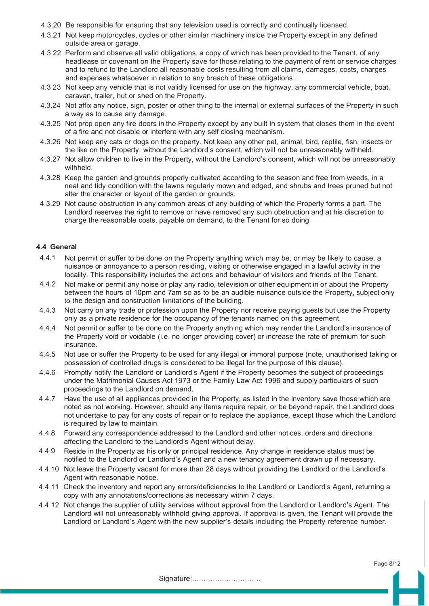- 4.3.20 Be responsible for ensuring that any television used is correctly and continually licensed.
- 4.3.21 Not keep motorcycles, cycles or other similar machinery inside the Property except in any defined outside area or garage.
- 4.3.22 Perform and observe all valid obligations, a copy of which has been provided to the Tenant, of any headlease or covenant on the Property save for those relating to the payment of rent or service charges and to refund to the Landlord all reasonable costs resulting from all claims, damages, costs, charges and expenses whatsoever in relation to any breach of these obligations.
- 4.3.23 Not keep any vehicle that is not validly licensed for use on the highway, any commercial vehicle, boat, caravan, trailer, hut or shed on the Property.
- 4.3.24 Not affix any notice, sign, poster or other thing to the internal or external surfaces of the Property in such a way as to cause any damage.
- 4.3.25 Not prop open any fire doors in the Property except by any built in system that closes them in the event of a fire and not disable or interfere with any self closing mechanism.
- 4.3.26 Not keep any cats or dogs on the property. Not keep any other pet, animal, bird, reptile, fish, insects or the like on the Property, without the Landlord's consent, which will not be unreasonably withheld.
- 4.3.27 Not allow children to live in the Property, without the Landlord's consent, which will not be unreasonably withheld.
- 4.3.28 Keep the garden and grounds properly cultivated according to the season and free from weeds, in a neat and tidy condition with the lawns regularly mown and edged, and shrubs and trees pruned but not alter the character or layout of the garden or grounds.
- 4.3.29 Not cause obstruction in any common areas of any building of which the Property forms a part. The Landlord reserves the right to remove or have removed any such obstruction and at his discretion to charge the reasonable costs, payable on demand, to the Tenant for so doing.

## **4.4 General**

- 4.4.1 Not permit or suffer to be done on the Property anything which may be, or may be likely to cause, a nuisance or annoyance to a person residing, visiting or otherwise engaged in a lawful activity in the locality. This responsibility includes the actions and behaviour of visitors and friends of the Tenant.
- 4.4.2 Not make or permit any noise or play any radio, television or other equipment in or about the Property between the hours of 10pm and 7am so as to be an audible nuisance outside the Property, subject only to the design and construction limitations of the building.
- 4.4.3 Not carry on any trade or profession upon the Property nor receive paying guests but use the Property only as a private residence for the occupancy of the tenants named on this agreement.
- 4.4.4 Not permit or suffer to be done on the Property anything which may render the Landlord's insurance of the Property void or voidable (i.e. no longer providing cover) or increase the rate of premium for such insurance.
- 4.4.5 Not use or suffer the Property to be used for any illegal or immoral purpose (note, unauthorised taking or possession of controlled drugs is considered to be illegal for the purpose of this clause).
- 4.4.6 Promptly notify the Landlord or Landlord's Agent if the Property becomes the subject of proceedings under the Matrimonial Causes Act 1973 or the Family Law Act 1996 and supply particulars of such proceedings to the Landlord on demand.
- 4.4. 7 Have the use of all appliances provided in the Property, as listed in the inventory save those which are noted as not working. However, should any items require repair, or be beyond repair, the Landlord does not undertake to pay for any costs of repair or to replace the appliance, except those which the Landlord is required by law to maintain.
- 4.4.8 Forward any correspondence addressed to the Landlord and other notices, orders and directions affecting the Landlord to the Landlord's Agent without delay.
- 4.4.9 Reside in the Property as his only or principal residence. Any change in residence status must be notified to the Landlord or Landlord's Agent and a new tenancy agreement drawn up if necessary.
- 4.4.1 O Not leave the Property vacant for more than 28 days without providing the Landlord or the Landlord's Agent with reasonable notice.
- 4.4.11 Check the inventory and report any errors/deficiencies to the Landlord or Landlord's Agent, returning a copy with any annotations/corrections as necessary within 7 days.
- 4.4.12 Not change the supplier of utility services without approval from the Landlord or Landlord's Agent. The Landlord will not unreasonably withhold giving approval. If approval is given, the Tenant will provide the Landlord or Landlord's Agent with the new supplier's details including the Property reference number.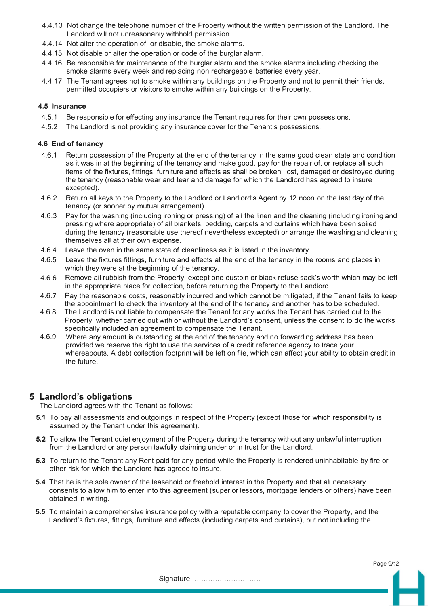- 4.4.13 Not change the telephone number of the Property without the written permission of the Landlord. The Landlord will not unreasonably withhold permission.
- 4.4.14 Not alter the operation of, or disable, the smoke alarms.
- 4.4.15 Not disable or alter the operation or code of the burglar alarm.
- 4.4.16 Be responsible for maintenance of the burglar alarm and the smoke alarms including checking the smoke alarms every week and replacing non rechargeable batteries every year.
- 4.4.17 The Tenant agrees not to smoke within any buildings on the Property and not to permit their friends, permitted occupiers or visitors to smoke within any buildings on the Property.

# **4.5 Insurance**

- 4.5.1 Be responsible for effecting any insurance the Tenant requires for their own possessions.
- 4.5.2 The Landlord is not providing any insurance cover for the Tenant's possessions.

# **4.6 End of tenancy**

- 4.6.1 Return possession of the Property at the end of the tenancy in the same good clean state and condition as it was in at the beginning of the tenancy and make good, pay for the repair of, or replace all such items of the fixtures, fittings, furniture and effects as shall be broken, lost, damaged or destroyed during the tenancy (reasonable wear and tear and damage for which the Landlord has agreed to insure excepted).
- 4.6.2 Return all keys to the Property to the Landlord or Landlord's Agent by 12 noon on the last day of the tenancy (or sooner by mutual arrangement).
- 4.6.3 Pay for the washing (including ironing or pressing) of all the linen and the cleaning (including ironing and pressing where appropriate) of all blankets, bedding, carpets and curtains which have been soiled during the tenancy (reasonable use thereof nevertheless excepted) or arrange the washing and cleaning themselves all at their own expense.
- 4.6.4 Leave the oven in the same state of cleanliness as it is listed in the inventory.
- 4.6.5 Leave the fixtures fittings, furniture and effects at the end of the tenancy in the rooms and places in which they were at the beginning of the tenancy.
- 4.6.6 Remove all rubbish from the Property, except one dustbin or black refuse sack's worth which may be left in the appropriate place for collection, before returning the Property to the Landlord.
- 4.6.7 Pay the reasonable costs, reasonably incurred and which cannot be mitigated, if the Tenant fails to keep the appointment to check the inventory at the end of the tenancy and another has to be scheduled.
- 4.6.8 The Landlord is not liable to compensate the Tenant for any works the Tenant has carried out to the Property, whether carried out with or without the Landlord's consent, unless the consent to do the works specifically included an agreement to compensate the Tenant.
- 4.6.9 Where any amount is outstanding at the end of the tenancy and no forwarding address has been provided we reserve the right to use the services of a credit reference agency to trace your whereabouts. A debt collection footprint will be left on file, which can affect your ability to obtain credit in the future.

# **5 Landlord's obligations**

The Landlord agrees with the Tenant as follows:

- **5.1** To pay all assessments and outgoings in respect of the Property ( except those for which responsibility is assumed by the Tenant under this agreement).
- **5.2** To allow the Tenant quiet enjoyment of the Property during the tenancy without any unlawful interruption from the Landlord or any person lawfully claiming under or in trust for the Landlord.
- **5.3** To return to the Tenant any Rent paid for any period while the Property is rendered uninhabitable by fire or other risk for which the Landlord has agreed to insure.
- **5.4** That he is the sole owner of the leasehold or freehold interest in the Property and that all necessary consents to allow him to enter into this agreement (superior lessors, mortgage lenders or others) have been obtained in writing.
- 5.5 To maintain a comprehensive insurance policy with a reputable company to cover the Property, and the Landlord's fixtures, fittings, furniture and effects (including carpets and curtains), but not including the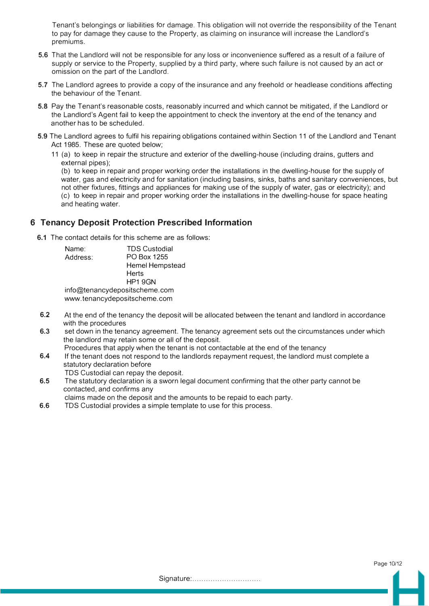Tenant's belongings or liabilities for damage. This obligation will not override the responsibility of the Tenant to pay for damage they cause to the Property, as claiming on insurance will increase the Landlord's premiums.

- **5.6** That the Landlord will not be responsible for any loss or inconvenience suffered as a result of a failure of supply or service to the Property, supplied by a third party, where such failure is not caused by an act or omission on the part of the Landlord.
- **5.7** The Landlord agrees to provide a copy of the insurance and any freehold or headlease conditions affecting the behaviour of the Tenant.
- **5.8** Pay the Tenant's reasonable costs, reasonably incurred and which cannot be mitigated, if the Landlord or the Landlord's Agent fail to keep the appointment to check the inventory at the end of the tenancy and another has to be scheduled.
- **5.9** The Landlord agrees to fulfil his repairing obligations contained within Section 11 of the Landlord and Tenant Act 1985. These are quoted below;
	- 11 (a) to keep in repair the structure and exterior of the dwelling-house (including drains, gutters and external pipes);

{b) to keep in repair and proper working order the installations in the dwelling-house for the supply of water, gas and electricity and for sanitation (including basins, sinks, baths and sanitary conveniences, but not other fixtures, fittings and appliances for making use of the supply of water, gas or electricity); and (c) to keep in repair and proper working order the installations in the dwelling-house for space heating and heating water.

# **6 Tenancy Deposit Protection Prescribed Information**

**6.1** The contact details for this scheme are as follows:

| Name:    | <b>TDS Custodial</b>          |
|----------|-------------------------------|
| Address: | PO Box 1255                   |
|          | <b>Hemel Hempstead</b>        |
|          | <b>Herts</b>                  |
|          | <b>HP1 9GN</b>                |
|          | info@tenancydepositscheme.com |
|          | www.tenancydepositscheme.com  |

- **6.2**  At the end of the tenancy the deposit will be allocated between the tenant and landlord in accordance with the procedures
- **6.3**  set down in the tenancy agreement. The tenancy agreement sets out the circumstances under which the landlord may retain some or all of the deposit.
- **6.4**  Procedures that apply when the tenant is not contactable at the end of the tenancy If the tenant does not respond to the landlords repayment request, the landlord must complete a
- statutory declaration before TDS Custodial can repay the deposit.
- **6.5**  The statutory declaration is a sworn legal document confirming that the other party cannot be contacted, and confirms any

claims made on the deposit and the amounts to be repaid to each party.

**6.6**  TDS Custodial provides a simple template to use for this process.

Page 10/12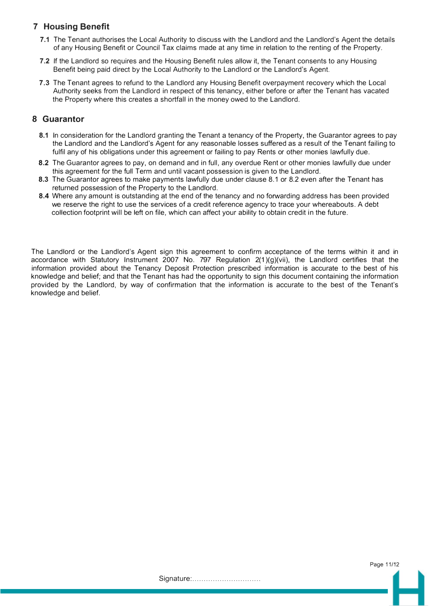# **7 Housing Benefit**

- **7.1** The Tenant authorises the Local Authority to discuss with the Landlord and the Landlord's Agent the details of any Housing Benefit or Council Tax claims made at any time in relation to the renting of the Property.
- **7.2** If the Landlord so requires and the Housing Benefit rules allow it, the Tenant consents to any Housing Benefit being paid direct by the Local Authority to the Landlord or the Landlord's Agent.
- **7.3** The Tenant agrees to refund to the Landlord any Housing Benefit overpayment recovery which the Local Authority seeks from the Landlord in respect of this tenancy, either before or after the Tenant has vacated the Property where this creates a shortfall in the money owed to the Landlord.

# **8 Guarantor**

- **8.1** In consideration for the Landlord granting the Tenant a tenancy of the Property, the Guarantor agrees to pay the Landlord and the Landlord's Agent for any reasonable losses suffered as a result of the Tenant failing to fulfil any of his obligations under this agreement or failing to pay Rents or other monies lawfully due.
- 8.2 The Guarantor agrees to pay, on demand and in full, any overdue Rent or other monies lawfully due under this agreement for the full Term and until vacant possession is given to the Landlord.
- **8.3** The Guarantor agrees to make payments lawfully due under clause 8.1 or 8.2 even after the Tenant has returned possession of the Property to the Landlord.
- **8.4** Where any amount is outstanding at the end of the tenancy and no forwarding address has been provided we reserve the right to use the services of a credit reference agency to trace your whereabouts. A debt collection footprint will be left on file, which can affect your ability to obtain credit in the future.

The Landlord or the Landlord's Agent sign this agreement to confirm acceptance of the terms within it and in accordance with Statutory Instrument 2007 No. 797 Regulation 2(1 )(g)(vii), the Landlord certifies that the information provided about the Tenancy Deposit Protection prescribed information is accurate to the best of his knowledge and belief; and that the Tenant has had the opportunity to sign this document containing the information provided by the Landlord, by way of confirmation that the information is accurate to the best of the Tenant's knowledge and belief.